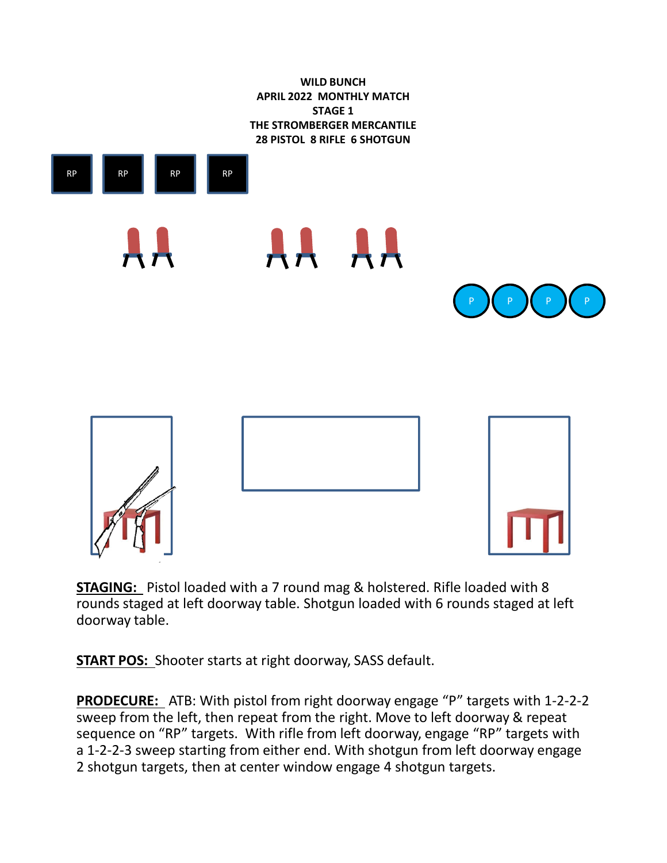

**STAGING:** Pistol loaded with a 7 round mag & holstered. Rifle loaded with 8 rounds staged at left doorway table. Shotgun loaded with 6 rounds staged at left doorway table.

**START POS:** Shooter starts at right doorway, SASS default.

**PRODECURE:** ATB: With pistol from right doorway engage "P" targets with 1-2-2-2 sweep from the left, then repeat from the right. Move to left doorway & repeat sequence on "RP" targets. With rifle from left doorway, engage "RP" targets with a 1-2-2-3 sweep starting from either end. With shotgun from left doorway engage 2 shotgun targets, then at center window engage 4 shotgun targets.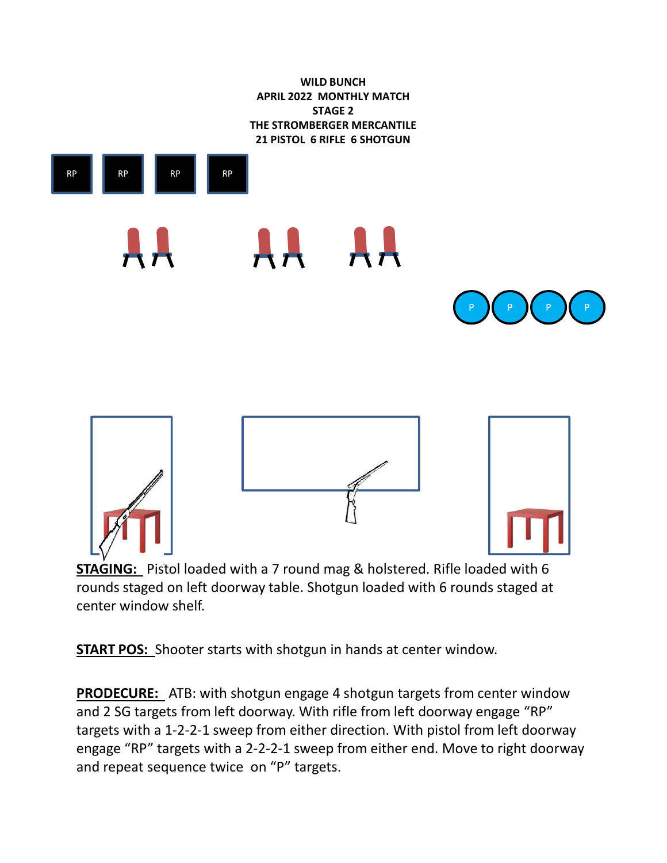



**STAGING:** Pistol loaded with a 7 round mag & holstered. Rifle loaded with 6 rounds staged on left doorway table. Shotgun loaded with 6 rounds staged at center window shelf.

**START POS:** Shooter starts with shotgun in hands at center window.

**PRODECURE:** ATB: with shotgun engage 4 shotgun targets from center window and 2 SG targets from left doorway. With rifle from left doorway engage "RP" targets with a 1-2-2-1 sweep from either direction. With pistol from left doorway engage "RP" targets with a 2-2-2-1 sweep from either end. Move to right doorway and repeat sequence twice on "P" targets.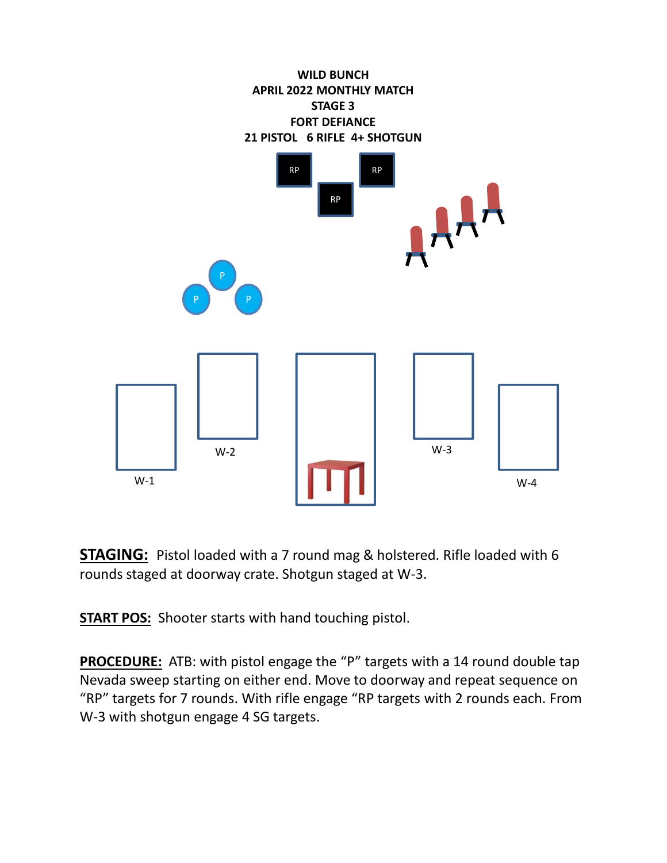

**STAGING:** Pistol loaded with a 7 round mag & holstered. Rifle loaded with 6 rounds staged at doorway crate. Shotgun staged at W-3.

**START POS:** Shooter starts with hand touching pistol.

**PROCEDURE:** ATB: with pistol engage the "P" targets with a 14 round double tap Nevada sweep starting on either end. Move to doorway and repeat sequence on "RP" targets for 7 rounds. With rifle engage "RP targets with 2 rounds each. From W-3 with shotgun engage 4 SG targets.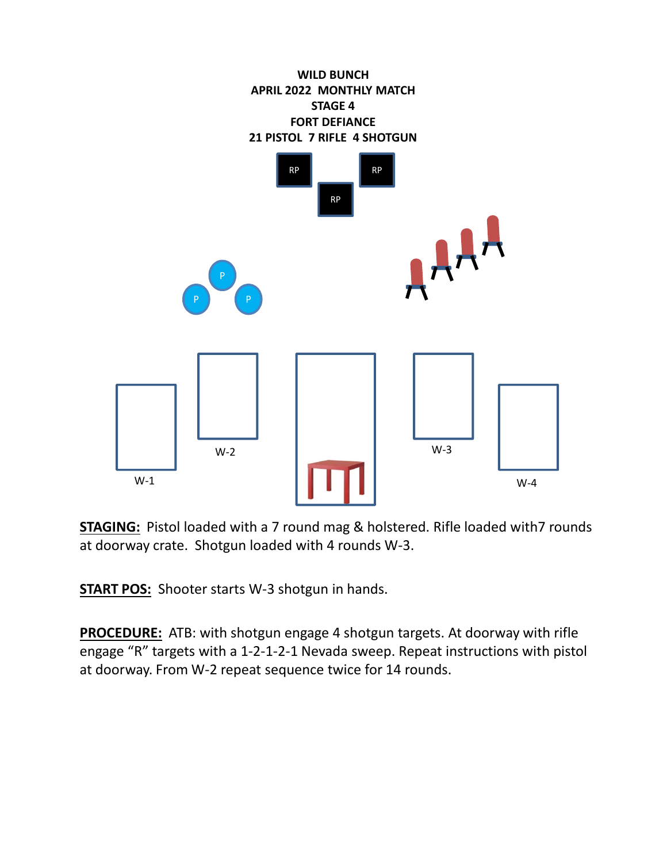

**STAGING:** Pistol loaded with a 7 round mag & holstered. Rifle loaded with7 rounds at doorway crate. Shotgun loaded with 4 rounds W-3.

**START POS:** Shooter starts W-3 shotgun in hands.

**PROCEDURE:** ATB: with shotgun engage 4 shotgun targets. At doorway with rifle engage "R" targets with a 1-2-1-2-1 Nevada sweep. Repeat instructions with pistol at doorway. From W-2 repeat sequence twice for 14 rounds.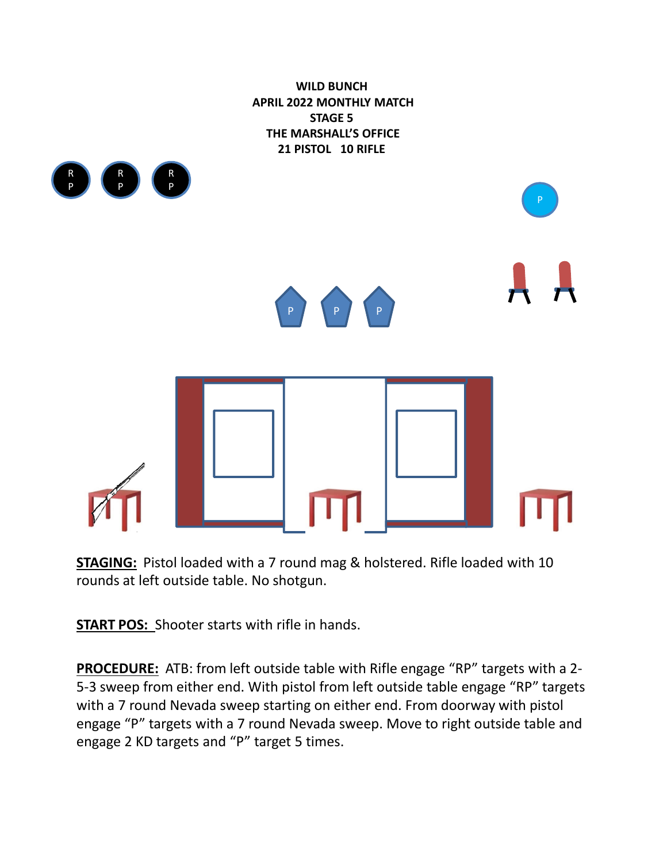

**STAGING:** Pistol loaded with a 7 round mag & holstered. Rifle loaded with 10 rounds at left outside table. No shotgun.

**START POS:** Shooter starts with rifle in hands.

**PROCEDURE:** ATB: from left outside table with Rifle engage "RP" targets with a 2- 5-3 sweep from either end. With pistol from left outside table engage "RP" targets with a 7 round Nevada sweep starting on either end. From doorway with pistol engage "P" targets with a 7 round Nevada sweep. Move to right outside table and engage 2 KD targets and "P" target 5 times.